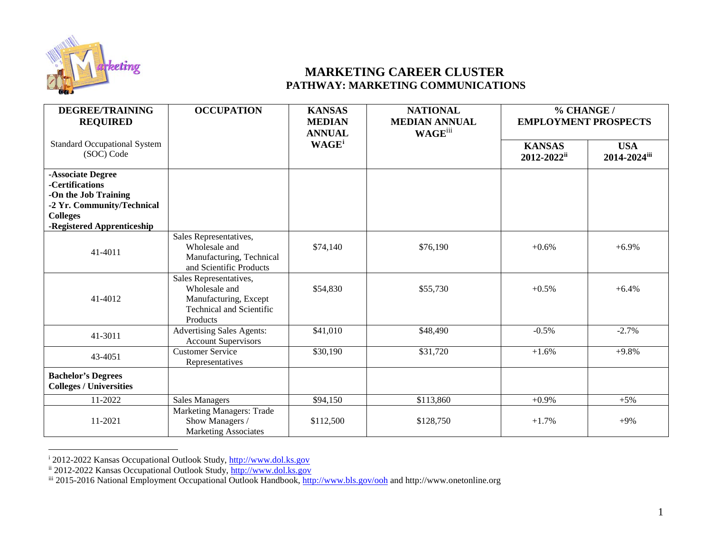

## <span id="page-0-2"></span><span id="page-0-1"></span><span id="page-0-0"></span>**MARKETING CAREER CLUSTER PATHWAY: MARKETING COMMUNICATIONS**

| <b>DEGREE/TRAINING</b><br><b>REQUIRED</b>                                                                                                   | <b>OCCUPATION</b>                                                                                               | <b>KANSAS</b><br><b>MEDIAN</b><br><b>ANNUAL</b> | <b>NATIONAL</b><br><b>MEDIAN ANNUAL</b><br><b>WAGE</b> iii | % CHANGE /<br><b>EMPLOYMENT PROSPECTS</b> |                            |
|---------------------------------------------------------------------------------------------------------------------------------------------|-----------------------------------------------------------------------------------------------------------------|-------------------------------------------------|------------------------------------------------------------|-------------------------------------------|----------------------------|
| <b>Standard Occupational System</b><br>(SOC) Code                                                                                           |                                                                                                                 | <b>WAGE</b> <sup>i</sup>                        |                                                            | <b>KANSAS</b><br>2012-2022ii              | <b>USA</b><br>2014-2024iii |
| -Associate Degree<br>-Certifications<br>-On the Job Training<br>-2 Yr. Community/Technical<br><b>Colleges</b><br>-Registered Apprenticeship |                                                                                                                 |                                                 |                                                            |                                           |                            |
| 41-4011                                                                                                                                     | Sales Representatives,<br>Wholesale and<br>Manufacturing, Technical<br>and Scientific Products                  | \$74,140                                        | \$76,190                                                   | $+0.6%$                                   | $+6.9%$                    |
| 41-4012                                                                                                                                     | Sales Representatives,<br>Wholesale and<br>Manufacturing, Except<br><b>Technical and Scientific</b><br>Products | \$54,830                                        | \$55,730                                                   | $+0.5\%$                                  | $+6.4%$                    |
| 41-3011                                                                                                                                     | <b>Advertising Sales Agents:</b><br><b>Account Supervisors</b>                                                  | \$41,010                                        | \$48,490                                                   | $-0.5%$                                   | $-2.7%$                    |
| 43-4051                                                                                                                                     | <b>Customer Service</b><br>Representatives                                                                      | \$30,190                                        | \$31,720                                                   | $+1.6%$                                   | $+9.8%$                    |
| <b>Bachelor's Degrees</b><br><b>Colleges / Universities</b>                                                                                 |                                                                                                                 |                                                 |                                                            |                                           |                            |
| 11-2022                                                                                                                                     | <b>Sales Managers</b>                                                                                           | \$94,150                                        | \$113,860                                                  | $+0.9%$                                   | $+5\%$                     |
| 11-2021                                                                                                                                     | Marketing Managers: Trade<br>Show Managers /<br><b>Marketing Associates</b>                                     | \$112,500                                       | \$128,750                                                  | $+1.7%$                                   | $+9%$                      |

i 2012-2022 Kansas Occupational Outlook Study, [http://www.dol.ks.gov](http://www.dol.ks.gov/)

ii 2012-2022 Kansas Occupational Outlook Study, [http://www.dol.ks.gov](http://www.dol.ks.gov/)

iii 2015-2016 National Employment Occupational Outlook Handbook, *http://www.bls.gov/ooh* and http://www.onetonline.org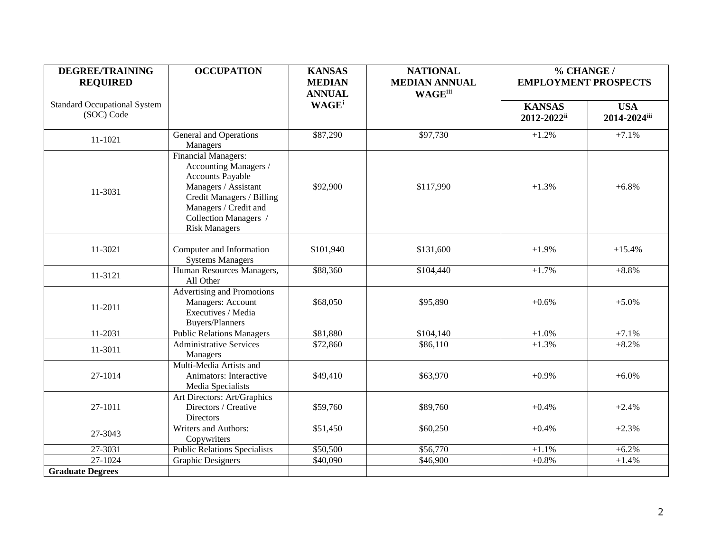| <b>DEGREE/TRAINING</b>                            | <b>OCCUPATION</b>                                                                                                                                                                                      | <b>KANSAS</b>                  | <b>NATIONAL</b>                         | % CHANGE /<br><b>EMPLOYMENT PROSPECTS</b> |                            |
|---------------------------------------------------|--------------------------------------------------------------------------------------------------------------------------------------------------------------------------------------------------------|--------------------------------|-----------------------------------------|-------------------------------------------|----------------------------|
| <b>REQUIRED</b>                                   |                                                                                                                                                                                                        | <b>MEDIAN</b><br><b>ANNUAL</b> | <b>MEDIAN ANNUAL</b><br><b>WAGE</b> iii |                                           |                            |
| <b>Standard Occupational System</b><br>(SOC) Code |                                                                                                                                                                                                        | <b>WAGE</b> <sup>i</sup>       |                                         | <b>KANSAS</b><br>2012-2022ii              | <b>USA</b><br>2014-2024iii |
| 11-1021                                           | <b>General and Operations</b><br>Managers                                                                                                                                                              | \$87,290                       | \$97,730                                | $+1.2%$                                   | $+7.1%$                    |
| 11-3031                                           | <b>Financial Managers:</b><br>Accounting Managers /<br>Accounts Payable<br>Managers / Assistant<br>Credit Managers / Billing<br>Managers / Credit and<br>Collection Managers /<br><b>Risk Managers</b> | \$92,900                       | \$117,990                               | $+1.3%$                                   | $+6.8%$                    |
| 11-3021                                           | Computer and Information<br><b>Systems Managers</b>                                                                                                                                                    | \$101,940                      | \$131,600                               | $+1.9%$                                   | $+15.4%$                   |
| 11-3121                                           | Human Resources Managers,<br>All Other                                                                                                                                                                 | \$88,360                       | \$104,440                               | $+1.7%$                                   | $+8.8%$                    |
| 11-2011                                           | Advertising and Promotions<br>Managers: Account<br>Executives / Media<br><b>Buyers/Planners</b>                                                                                                        | \$68,050                       | \$95,890                                | $+0.6%$                                   | $+5.0%$                    |
| 11-2031                                           | <b>Public Relations Managers</b>                                                                                                                                                                       | \$81,880                       | \$104,140                               | $+1.0%$                                   | $+7.1%$                    |
| 11-3011                                           | <b>Administrative Services</b><br>Managers                                                                                                                                                             | \$72,860                       | \$86,110                                | $+1.3%$                                   | $+8.2%$                    |
| 27-1014                                           | Multi-Media Artists and<br>Animators: Interactive<br>Media Specialists                                                                                                                                 | \$49,410                       | \$63,970                                | $+0.9%$                                   | $+6.0%$                    |
| 27-1011                                           | Art Directors: Art/Graphics<br>Directors / Creative<br>Directors                                                                                                                                       | \$59,760                       | \$89,760                                | $+0.4%$                                   | $+2.4%$                    |
| 27-3043                                           | <b>Writers and Authors:</b><br>Copywriters                                                                                                                                                             | \$51,450                       | \$60,250                                | $+0.4%$                                   | $+2.3%$                    |
| 27-3031                                           | <b>Public Relations Specialists</b>                                                                                                                                                                    | \$50,500                       | \$56,770                                | $+1.1%$                                   | $+6.2%$                    |
| 27-1024                                           | <b>Graphic Designers</b>                                                                                                                                                                               | \$40,090                       | \$46,900                                | $+0.8%$                                   | $+1.4%$                    |
| <b>Graduate Degrees</b>                           |                                                                                                                                                                                                        |                                |                                         |                                           |                            |